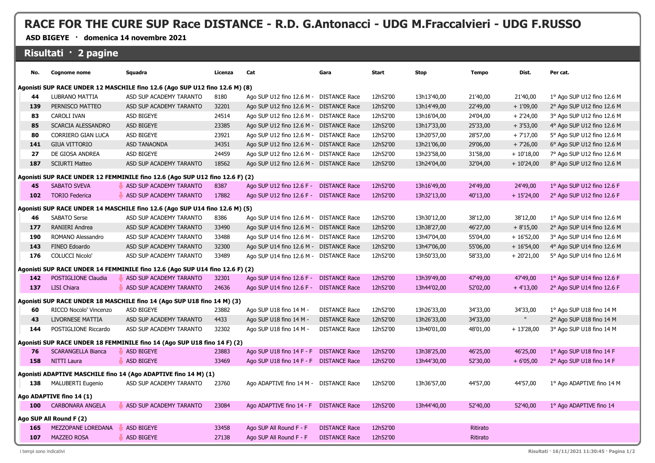## **RACE FOR THE CURE SUP Race DISTANCE - R.D. G.Antonacci - UDG M.Fraccalvieri - UDG F.RUSSO**

**ASD BIGEYE · domenica 14 novembre 2021**

## **Risultati · 2 pagine**

| No.                                                                          | <b>Cognome nome</b>                                 | Squadra                                                                  | Licenza | Cat                                    | Gara                 | Start    | <b>Stop</b> | <b>Tempo</b> | Dist.        | Per cat.                   |
|------------------------------------------------------------------------------|-----------------------------------------------------|--------------------------------------------------------------------------|---------|----------------------------------------|----------------------|----------|-------------|--------------|--------------|----------------------------|
| Agonisti SUP RACE UNDER 12 MASCHILE fino 12.6 (Ago SUP U12 fino 12.6 M) (8)  |                                                     |                                                                          |         |                                        |                      |          |             |              |              |                            |
| 44                                                                           | LUBRANO MATTIA                                      | ASD SUP ACADEMY TARANTO                                                  | 8180    | Ago SUP U12 fino 12.6 M -              | <b>DISTANCE Race</b> | 12h52'00 | 13h13'40,00 | 21'40,00     | 21'40,00     | 1º Ago SUP U12 fino 12.6 M |
| 139                                                                          | PERNISCO MATTEO                                     | ASD SUP ACADEMY TARANTO                                                  | 32201   | Ago SUP U12 fino 12.6 M -              | <b>DISTANCE Race</b> | 12h52'00 | 13h14'49,00 | 22'49,00     | $+1'09,00$   | 2° Ago SUP U12 fino 12.6 M |
| 83                                                                           | CAROLI IVAN                                         | <b>ASD BIGEYE</b>                                                        | 24514   | Ago SUP U12 fino 12.6 M -              | <b>DISTANCE Race</b> | 12h52'00 | 13h16'04,00 | 24'04,00     | $+2'24,00$   | 3° Ago SUP U12 fino 12.6 M |
| 85                                                                           | SCARCIA ALESSANDRO                                  | ASD BIGEYE                                                               | 23385   | Ago SUP U12 fino 12.6 M -              | <b>DISTANCE Race</b> | 12h52'00 | 13h17'33,00 | 25'33,00     | $+3'53,00$   | 4° Ago SUP U12 fino 12.6 M |
| 80                                                                           | CORRIERO GIAN LUCA                                  | ASD BIGEYE                                                               | 23921   | Ago SUP U12 fino 12.6 M -              | <b>DISTANCE Race</b> | 12h52'00 | 13h20'57,00 | 28'57,00     | $+7'17,00$   | 5° Ago SUP U12 fino 12.6 M |
| 141                                                                          | <b>GIUA VITTORIO</b>                                | <b>ASD TANAONDA</b>                                                      | 34351   | Ago SUP U12 fino 12.6 M -              | <b>DISTANCE Race</b> | 12h52'00 | 13h21'06,00 | 29'06,00     | $+7'26,00$   | 6° Ago SUP U12 fino 12.6 M |
| 27                                                                           | DE GIOSA ANDREA                                     | <b>ASD BIGEYE</b>                                                        | 24459   | Ago SUP U12 fino 12.6 M -              | <b>DISTANCE Race</b> | 12h52'00 | 13h23'58,00 | 31'58,00     | $+10'18,00$  | 7° Ago SUP U12 fino 12.6 M |
| 187                                                                          | <b>SCIURTI Matteo</b>                               | ASD SUP ACADEMY TARANTO                                                  | 18562   | Ago SUP U12 fino 12.6 M -              | <b>DISTANCE Race</b> | 12h52'00 | 13h24'04,00 | 32'04,00     | $+10'24,00$  | 8° Ago SUP U12 fino 12.6 M |
| Agonisti SUP RACE UNDER 12 FEMMINILE fino 12.6 (Ago SUP U12 fino 12.6 F) (2) |                                                     |                                                                          |         |                                        |                      |          |             |              |              |                            |
| 45                                                                           | <b>SABATO SVEVA</b>                                 | ASD SUP ACADEMY TARANTO                                                  | 8387    | Ago SUP U12 fino 12.6 F -              | <b>DISTANCE Race</b> | 12h52'00 | 13h16'49,00 | 24'49,00     | 24'49,00     | 1º Ago SUP U12 fino 12.6 F |
| 102                                                                          | <b>TORIO Federica</b>                               | ASD SUP ACADEMY TARANTO                                                  | 17882   | Ago SUP U12 fino 12.6 F -              | <b>DISTANCE Race</b> | 12h52'00 | 13h32'13,00 | 40'13,00     | $+ 15'24,00$ | 2° Ago SUP U12 fino 12.6 F |
| Agonisti SUP RACE UNDER 14 MASCHILE fino 12.6 (Ago SUP U14 fino 12.6 M) (5)  |                                                     |                                                                          |         |                                        |                      |          |             |              |              |                            |
| 46                                                                           | SABATO Serse                                        | ASD SUP ACADEMY TARANTO                                                  | 8386    | Ago SUP U14 fino 12.6 M -              | <b>DISTANCE Race</b> | 12h52'00 | 13h30'12,00 | 38'12,00     | 38'12,00     | 1° Ago SUP U14 fino 12.6 M |
| 177                                                                          | RANIERI Andrea                                      | ASD SUP ACADEMY TARANTO                                                  | 33490   | Ago SUP U14 fino 12.6 M -              | <b>DISTANCE Race</b> | 12h52'00 | 13h38'27,00 | 46'27,00     | $+8'15,00$   | 2° Ago SUP U14 fino 12.6 M |
| 190                                                                          | ROMANO Alessandro                                   | ASD SUP ACADEMY TARANTO                                                  | 33488   | Ago SUP U14 fino 12.6 M -              | <b>DISTANCE Race</b> | 12h52'00 | 13h47'04,00 | 55'04,00     | $+16'52,00$  | 3° Ago SUP U14 fino 12.6 M |
| 143                                                                          | FINEO Edoardo                                       | ASD SUP ACADEMY TARANTO                                                  | 32300   | Ago SUP U14 fino 12.6 M -              | <b>DISTANCE Race</b> | 12h52'00 | 13h47'06,00 | 55'06,00     | $+16'54,00$  | 4° Ago SUP U14 fino 12.6 M |
| 176                                                                          | <b>COLUCCI Nicolo'</b>                              | ASD SUP ACADEMY TARANTO                                                  | 33489   | Ago SUP U14 fino 12.6 M -              | <b>DISTANCE Race</b> | 12h52'00 | 13h50'33,00 | 58'33,00     | $+20'21,00$  | 5° Ago SUP U14 fino 12.6 M |
| Agonisti SUP RACE UNDER 14 FEMMINILE fino 12.6 (Ago SUP U14 fino 12.6 F) (2) |                                                     |                                                                          |         |                                        |                      |          |             |              |              |                            |
| 142                                                                          | POSTIGLIONE Claudia                                 | ASD SUP ACADEMY TARANTO                                                  | 32301   | Ago SUP U14 fino 12.6 F -              | <b>DISTANCE Race</b> | 12h52'00 | 13h39'49,00 | 47'49,00     | 47'49,00     | 1º Ago SUP U14 fino 12.6 F |
| 137                                                                          | <b>LISI Chiara</b>                                  | ASD SUP ACADEMY TARANTO                                                  | 24636   | Ago SUP U14 fino 12.6 F -              | <b>DISTANCE Race</b> | 12h52'00 | 13h44'02,00 | 52'02,00     | $+4'13,00$   | 2° Ago SUP U14 fino 12.6 F |
|                                                                              |                                                     | Agonisti SUP RACE UNDER 18 MASCHILE fino 14 (Ago SUP U18 fino 14 M) (3)  |         |                                        |                      |          |             |              |              |                            |
| 60                                                                           | RICCO Nocolo' Vincenzo                              | <b>ASD BIGEYE</b>                                                        | 23882   | Ago SUP U18 fino 14 M -                | <b>DISTANCE Race</b> | 12h52'00 | 13h26'33,00 | 34'33,00     | 34'33,00     | 1° Ago SUP U18 fino 14 M   |
| 43                                                                           | LIVORNESE MATTIA                                    | ASD SUP ACADEMY TARANTO                                                  | 4433    | Ago SUP U18 fino 14 M -                | <b>DISTANCE Race</b> | 12h52'00 | 13h26'33,00 | 34'33,00     | $\mathbf u$  | 2° Ago SUP U18 fino 14 M   |
| 144                                                                          | POSTIGLIONE Riccardo                                | ASD SUP ACADEMY TARANTO                                                  | 32302   | Ago SUP U18 fino 14 M -                | <b>DISTANCE Race</b> | 12h52'00 | 13h40'01,00 | 48'01,00     | $+13'28,00$  | 3° Ago SUP U18 fino 14 M   |
|                                                                              |                                                     | Agonisti SUP RACE UNDER 18 FEMMINILE fino 14 (Ago SUP U18 fino 14 F) (2) |         |                                        |                      |          |             |              |              |                            |
| 76                                                                           | <b>SCARANGELLA Bianca</b>                           | <b>ASD BIGEYE</b>                                                        | 23883   | Ago SUP U18 fino 14 F - F              | <b>DISTANCE Race</b> | 12h52'00 | 13h38'25,00 | 46'25,00     | 46'25,00     | 1º Ago SUP U18 fino 14 F   |
| 158                                                                          | <b>NITTI Laura</b>                                  | <b>ASD BIGEYE</b>                                                        | 33469   | Ago SUP U18 fino 14 F - F              | <b>DISTANCE Race</b> | 12h52'00 | 13h44'30,00 | 52'30,00     | $+6'05,00$   | 2° Ago SUP U18 fino 14 F   |
|                                                                              |                                                     | Agonisti ADAPTIVE MASCHILE fino 14 (Ago ADAPTIVE fino 14 M) (1)          |         |                                        |                      |          |             |              |              |                            |
| 138                                                                          | <b>MALUBERTI Eugenio</b>                            | ASD SUP ACADEMY TARANTO                                                  | 23760   | Ago ADAPTIVE fino 14 M -               | <b>DISTANCE Race</b> | 12h52'00 | 13h36'57,00 | 44'57,00     | 44'57,00     | 1° Ago ADAPTIVE fino 14 M  |
|                                                                              |                                                     |                                                                          |         |                                        |                      |          |             |              |              |                            |
| 100                                                                          | Ago ADAPTIVE fino 14 (1)<br><b>CARBONARA ANGELA</b> | ASD SUP ACADEMY TARANTO                                                  | 23084   | Ago ADAPTIVE fino 14 - F DISTANCE Race |                      | 12h52'00 | 13h44'40,00 | 52'40,00     | 52'40,00     | 1° Ago ADAPTIVE fino 14    |
|                                                                              |                                                     |                                                                          |         |                                        |                      |          |             |              |              |                            |
| Ago SUP All Round F (2)                                                      |                                                     |                                                                          |         |                                        |                      |          |             |              |              |                            |
| 165                                                                          | MEZZOPANE LOREDANA                                  | ASD BIGEYE                                                               | 33458   | Ago SUP All Round F - F                | <b>DISTANCE Race</b> | 12h52'00 |             | Ritirato     |              |                            |
| 107                                                                          | <b>MAZZEO ROSA</b>                                  | <b>ASD BIGEYE</b>                                                        | 27138   | Ago SUP All Round F - F                | <b>DISTANCE Race</b> | 12h52'00 |             | Ritirato     |              |                            |